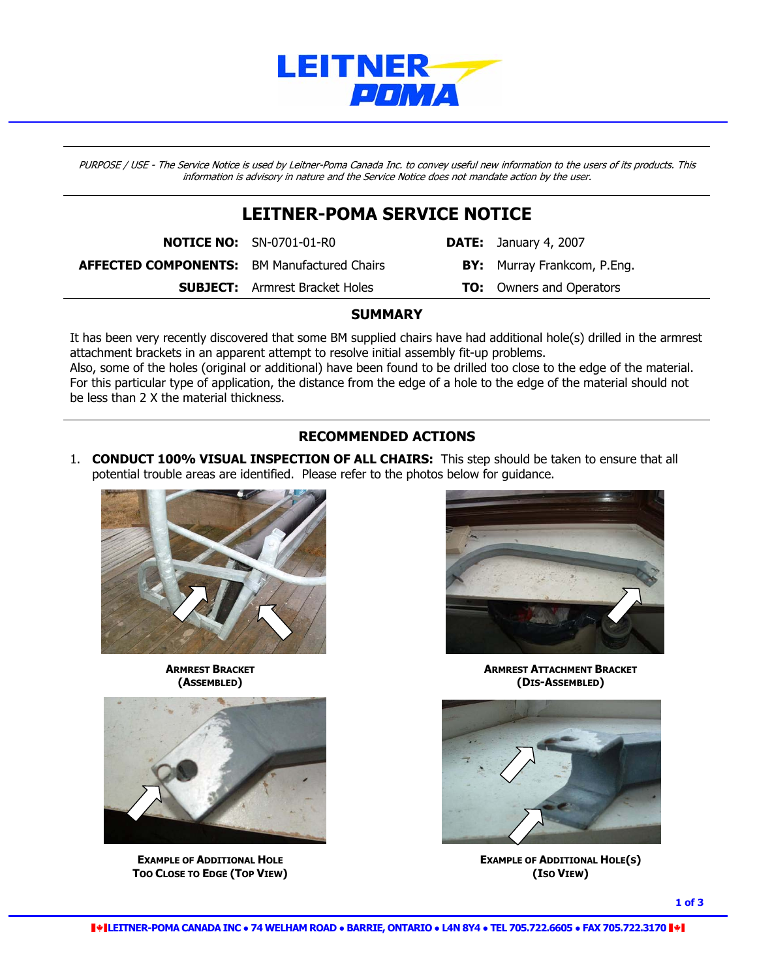

PURPOSE / USE - The Service Notice is used by Leitner-Poma Canada Inc. to convey useful new information to the users of its products. This information is advisory in nature and the Service Notice does not mandate action by the user.

## **LEITNER-POMA SERVICE NOTICE**

**NOTICE NO:** SN-0701-01-R0 **DATE:** January 4, 2007 **AFFECTED COMPONENTS:** BM Manufactured Chairs **BY:** Murray Frankcom, P.Eng. **SUBJECT:** Armrest Bracket Holes **TO:** Owners and Operators

### **SUMMARY**

It has been very recently discovered that some BM supplied chairs have had additional hole(s) drilled in the armrest attachment brackets in an apparent attempt to resolve initial assembly fit-up problems.

Also, some of the holes (original or additional) have been found to be drilled too close to the edge of the material. For this particular type of application, the distance from the edge of a hole to the edge of the material should not be less than 2 X the material thickness.

## **RECOMMENDED ACTIONS**

1. **CONDUCT 100% VISUAL INSPECTION OF ALL CHAIRS:** This step should be taken to ensure that all potential trouble areas are identified. Please refer to the photos below for guidance.





**TOO CLOSE TO EDGE (TOP VIEW)** *CONSERVIEW* **<b>CONSERVIEW** *CONSERVIEW CONSERVIEW* 



**ARMREST BRACKET ARMREST ARMREST ARMREST BRACKET (ASSEMBLED) (DIS-ASSEMBLED)** 



**EXAMPLE OF ADDITIONAL HOLE ADDITIONAL HOLE**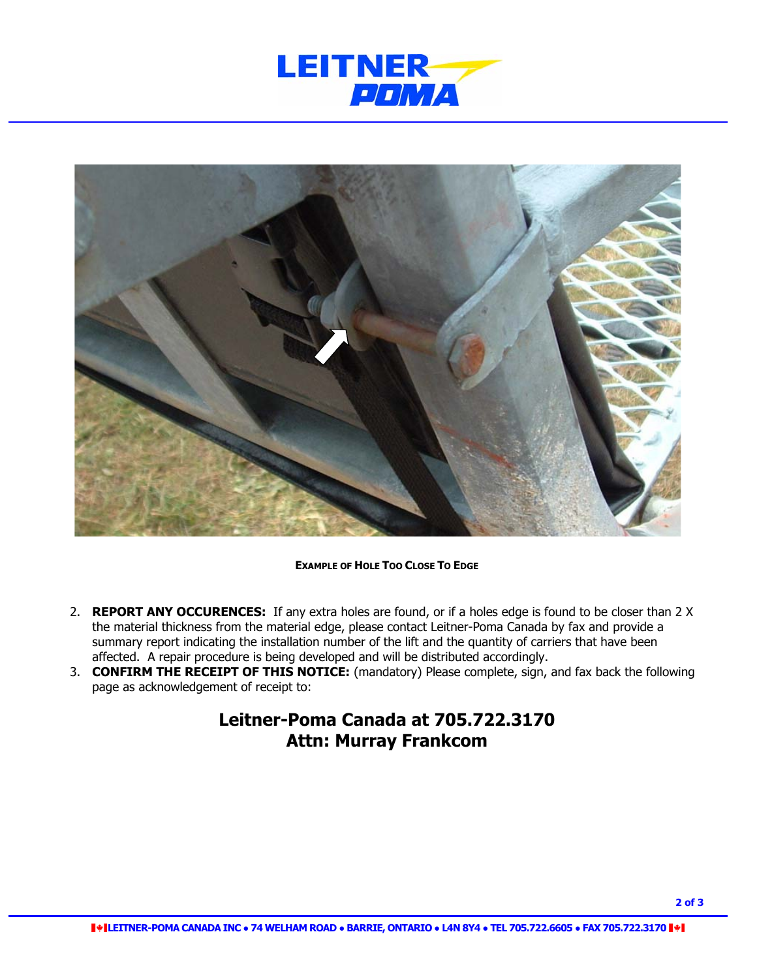



#### **EXAMPLE OF HOLE TOO CLOSE TO EDGE**

- 2. **REPORT ANY OCCURENCES:** If any extra holes are found, or if a holes edge is found to be closer than 2 X the material thickness from the material edge, please contact Leitner-Poma Canada by fax and provide a summary report indicating the installation number of the lift and the quantity of carriers that have been affected. A repair procedure is being developed and will be distributed accordingly.
- 3. **CONFIRM THE RECEIPT OF THIS NOTICE:** (mandatory) Please complete, sign, and fax back the following page as acknowledgement of receipt to:

# **Leitner-Poma Canada at 705.722.3170 Attn: Murray Frankcom**